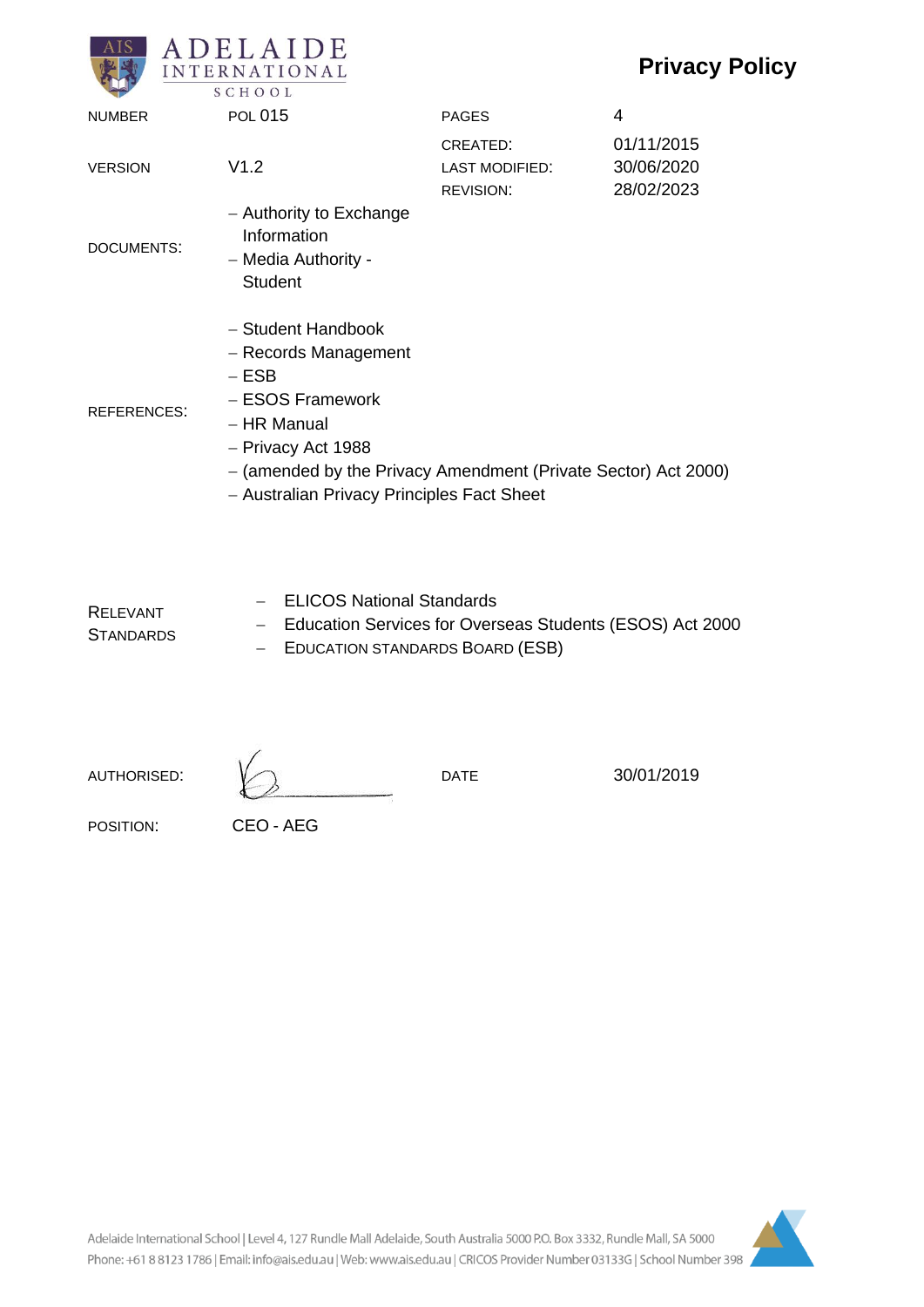# **Privacy Policy**



| <b>NUMBER</b>      | <b>POL 015</b>                                                                                                                                                                                                                 | <b>PAGES</b>                                          | 4                                      |
|--------------------|--------------------------------------------------------------------------------------------------------------------------------------------------------------------------------------------------------------------------------|-------------------------------------------------------|----------------------------------------|
| <b>VERSION</b>     | V1.2                                                                                                                                                                                                                           | CREATED:<br><b>LAST MODIFIED:</b><br><b>REVISION:</b> | 01/11/2015<br>30/06/2020<br>28/02/2023 |
| DOCUMENTS:         | - Authority to Exchange<br>Information<br>- Media Authority -<br><b>Student</b>                                                                                                                                                |                                                       |                                        |
| <b>REFERENCES:</b> | - Student Handbook<br>- Records Management<br>$-$ ESB<br>- ESOS Framework<br>– HR Manual<br>- Privacy Act 1988<br>- (amended by the Privacy Amendment (Private Sector) Act 2000)<br>- Australian Privacy Principles Fact Sheet |                                                       |                                        |

RELEVANT **STANDARDS** − ELICOS National Standards − Education Services for Overseas Students (ESOS) Act 2000 − EDUCATION STANDARDS BOARD (ESB)

AUTHORISED:  $\sqrt{ }$  DATE 30/01/2019

POSITION: CEO - AEG

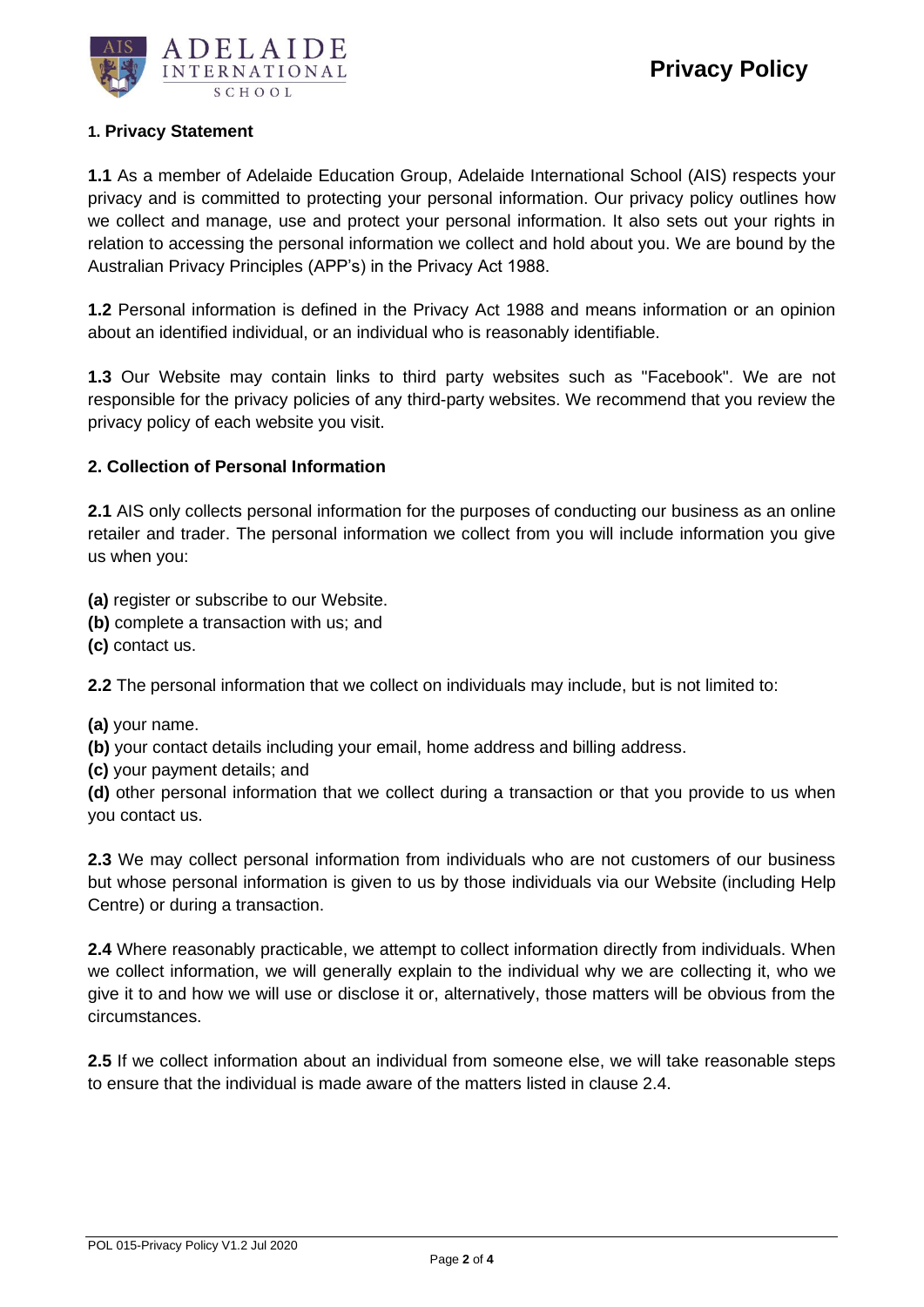

### **1. Privacy Statement**

**1.1** As a member of Adelaide Education Group, Adelaide International School (AIS) respects your privacy and is committed to protecting your personal information. Our privacy policy outlines how we collect and manage, use and protect your personal information. It also sets out your rights in relation to accessing the personal information we collect and hold about you. We are bound by the Australian Privacy Principles (APP's) in the Privacy Act 1988.

**1.2** Personal information is defined in the Privacy Act 1988 and means information or an opinion about an identified individual, or an individual who is reasonably identifiable.

**1.3** Our Website may contain links to third party websites such as "Facebook". We are not responsible for the privacy policies of any third-party websites. We recommend that you review the privacy policy of each website you visit.

#### **2. Collection of Personal Information**

**2.1** AIS only collects personal information for the purposes of conducting our business as an online retailer and trader. The personal information we collect from you will include information you give us when you:

**(a)** register or subscribe to our Website.

- **(b)** complete a transaction with us; and
- **(c)** contact us.

**2.2** The personal information that we collect on individuals may include, but is not limited to:

**(a)** your name.

**(b)** your contact details including your email, home address and billing address.

**(c)** your payment details; and

**(d)** other personal information that we collect during a transaction or that you provide to us when you contact us.

**2.3** We may collect personal information from individuals who are not customers of our business but whose personal information is given to us by those individuals via our Website (including Help Centre) or during a transaction.

**2.4** Where reasonably practicable, we attempt to collect information directly from individuals. When we collect information, we will generally explain to the individual why we are collecting it, who we give it to and how we will use or disclose it or, alternatively, those matters will be obvious from the circumstances.

**2.5** If we collect information about an individual from someone else, we will take reasonable steps to ensure that the individual is made aware of the matters listed in clause 2.4.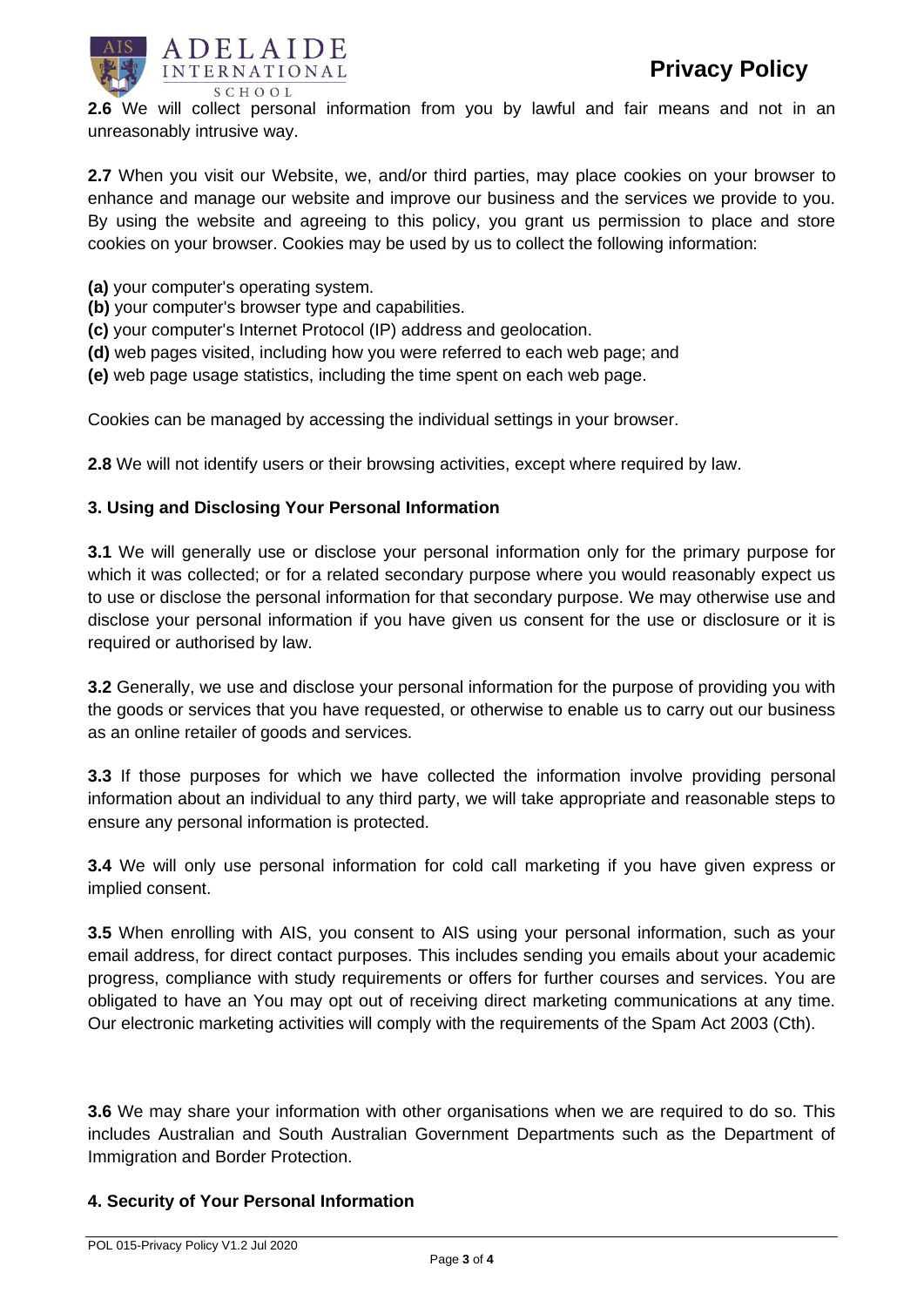

**2.6** We will collect personal information from you by lawful and fair means and not in an unreasonably intrusive way.

**2.7** When you visit our Website, we, and/or third parties, may place cookies on your browser to enhance and manage our website and improve our business and the services we provide to you. By using the website and agreeing to this policy, you grant us permission to place and store cookies on your browser. Cookies may be used by us to collect the following information:

- **(a)** your computer's operating system.
- **(b)** your computer's browser type and capabilities.
- **(c)** your computer's Internet Protocol (IP) address and geolocation.
- **(d)** web pages visited, including how you were referred to each web page; and
- **(e)** web page usage statistics, including the time spent on each web page.

Cookies can be managed by accessing the individual settings in your browser.

**2.8** We will not identify users or their browsing activities, except where required by law.

## **3. Using and Disclosing Your Personal Information**

**3.1** We will generally use or disclose your personal information only for the primary purpose for which it was collected; or for a related secondary purpose where you would reasonably expect us to use or disclose the personal information for that secondary purpose. We may otherwise use and disclose your personal information if you have given us consent for the use or disclosure or it is required or authorised by law.

**3.2** Generally, we use and disclose your personal information for the purpose of providing you with the goods or services that you have requested, or otherwise to enable us to carry out our business as an online retailer of goods and services.

**3.3** If those purposes for which we have collected the information involve providing personal information about an individual to any third party, we will take appropriate and reasonable steps to ensure any personal information is protected.

**3.4** We will only use personal information for cold call marketing if you have given express or implied consent.

**3.5** When enrolling with AIS, you consent to AIS using your personal information, such as your email address, for direct contact purposes. This includes sending you emails about your academic progress, compliance with study requirements or offers for further courses and services. You are obligated to have an You may opt out of receiving direct marketing communications at any time. Our electronic marketing activities will comply with the requirements of the Spam Act 2003 (Cth).

**3.6** We may share your information with other organisations when we are required to do so. This includes Australian and South Australian Government Departments such as the Department of Immigration and Border Protection.

#### **4. Security of Your Personal Information**